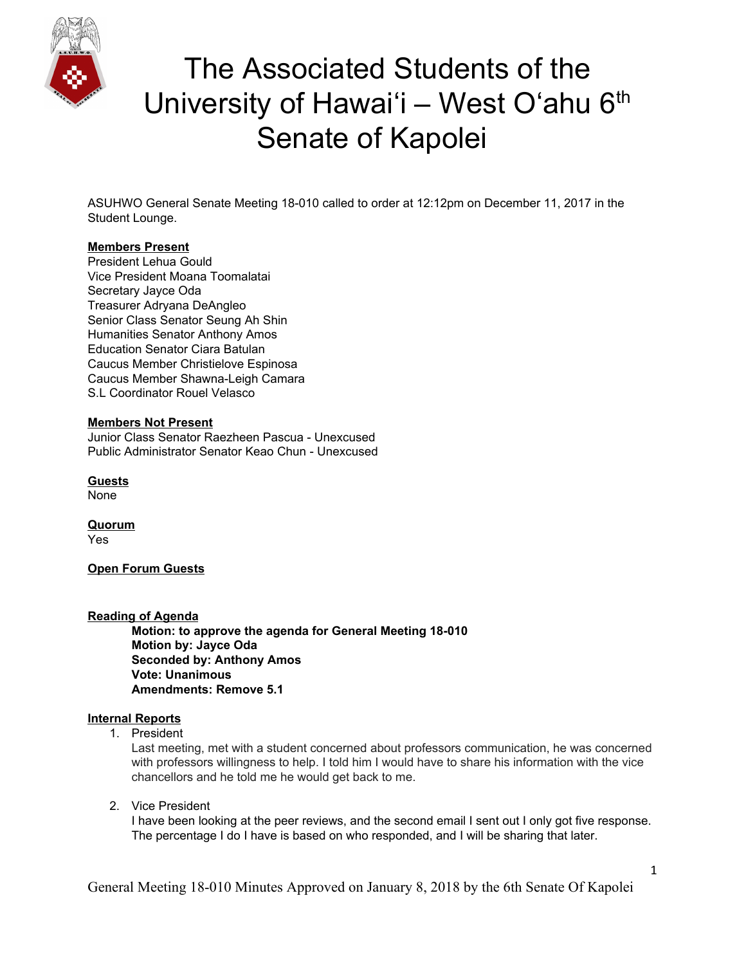

ASUHWO General Senate Meeting 18-010 called to order at 12:12pm on December 11, 2017 in the Student Lounge.

### **Members Present**

President Lehua Gould Vice President Moana Toomalatai Secretary Jayce Oda Treasurer Adryana DeAngleo Senior Class Senator Seung Ah Shin Humanities Senator Anthony Amos Education Senator Ciara Batulan Caucus Member Christielove Espinosa Caucus Member Shawna-Leigh Camara S.L Coordinator Rouel Velasco

### **Members Not Present**

Junior Class Senator Raezheen Pascua - Unexcused Public Administrator Senator Keao Chun - Unexcused

**Guests** None

**Quorum** Yes

**Open Forum Guests**

### **Reading of Agenda**

**Motion: to approve the agenda for General Meeting 18-010 Motion by: Jayce Oda Seconded by: Anthony Amos Vote: Unanimous Amendments: Remove 5.1**

### **Internal Reports**

1. President

Last meeting, met with a student concerned about professors communication, he was concerned with professors willingness to help. I told him I would have to share his information with the vice chancellors and he told me he would get back to me.

2. Vice President

I have been looking at the peer reviews, and the second email I sent out I only got five response. The percentage I do I have is based on who responded, and I will be sharing that later.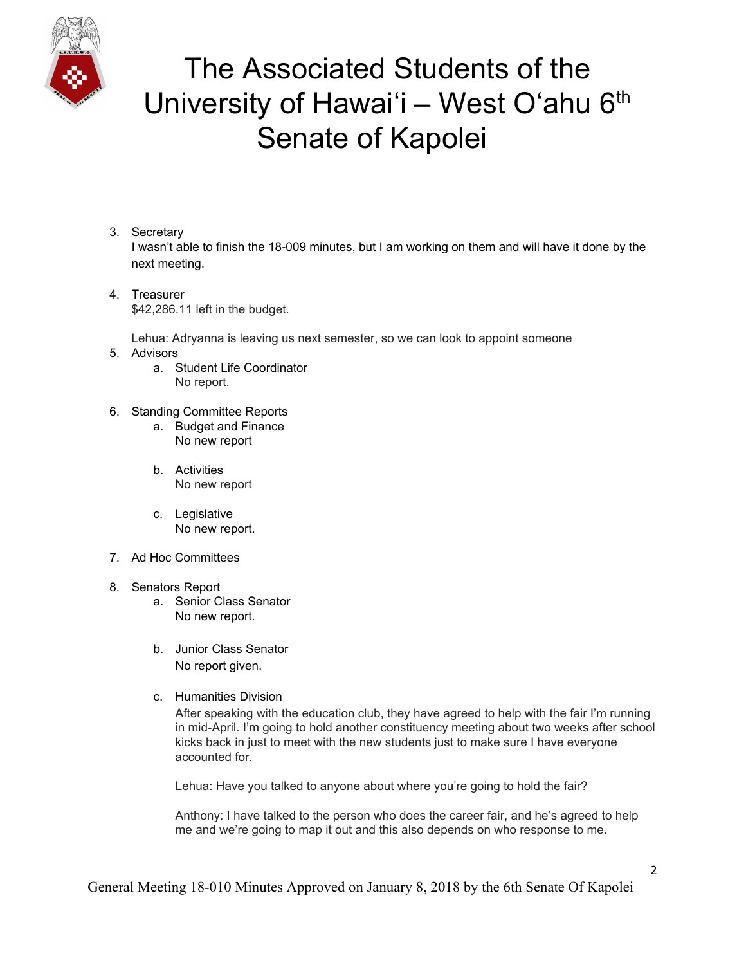

- 3. Secretary I wasn't able to finish the 18-009 minutes, but I am working on them and will have it done by the next meeting.
- 4. Treasurer \$42,286.11 left in the budget.

Lehua: Adryanna is leaving us next semester, so we can look to appoint someone

- 5. Advisors
	- a. Student Life Coordinator No report.
- 6. Standing Committee Reports
	- a. Budget and Finance No new report
	- b. Activities No new report
	- c. Legislative No new report.
- 7. Ad Hoc Committees
- 8. Senators Report
	- a. Senior Class Senator No new report.
	- b. Junior Class Senator No report given.
	- c. Humanities Division

After speaking with the education club, they have agreed to help with the fair I'm running in mid-April. I'm going to hold another constituency meeting about two weeks after school kicks back in just to meet with the new students just to make sure I have everyone accounted for.

Lehua: Have you talked to anyone about where you're going to hold the fair?

Anthony: I have talked to the person who does the career fair, and he's agreed to help me and we're going to map it out and this also depends on who response to me.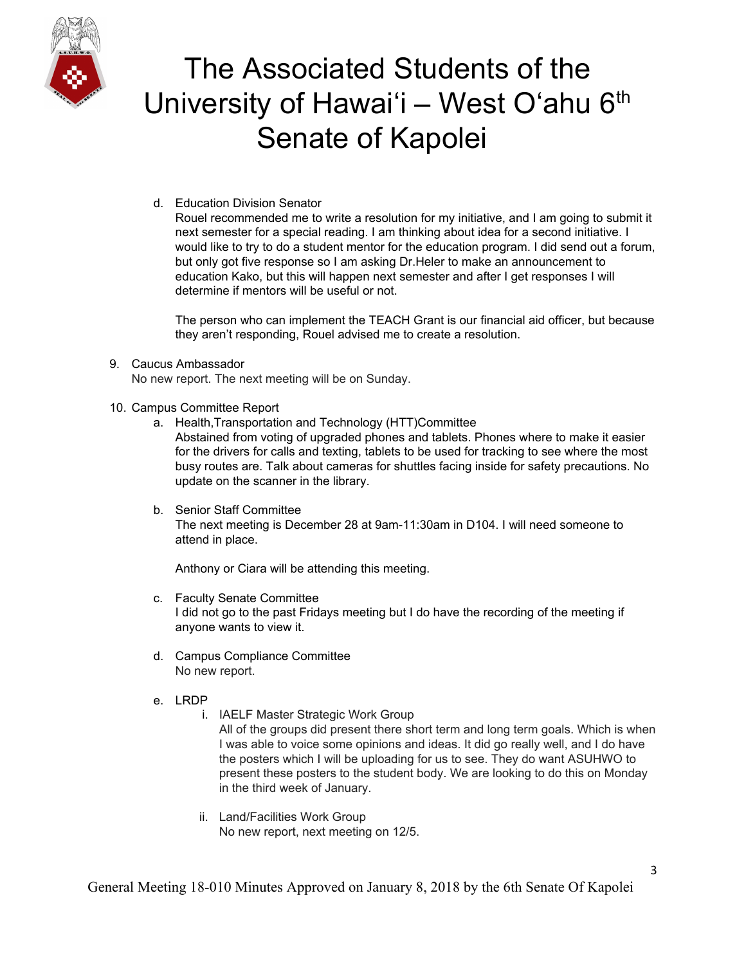

d. Education Division Senator

Rouel recommended me to write a resolution for my initiative, and I am going to submit it next semester for a special reading. I am thinking about idea for a second initiative. I would like to try to do a student mentor for the education program. I did send out a forum, but only got five response so I am asking Dr.Heler to make an announcement to education Kako, but this will happen next semester and after I get responses I will determine if mentors will be useful or not.

The person who can implement the TEACH Grant is our financial aid officer, but because they aren't responding, Rouel advised me to create a resolution.

### 9. Caucus Ambassador

No new report. The next meeting will be on Sunday.

- 10. Campus Committee Report
	- a. Health,Transportation and Technology (HTT)Committee

Abstained from voting of upgraded phones and tablets. Phones where to make it easier for the drivers for calls and texting, tablets to be used for tracking to see where the most busy routes are. Talk about cameras for shuttles facing inside for safety precautions. No update on the scanner in the library.

b. Senior Staff Committee The next meeting is December 28 at 9am-11:30am in D104. I will need someone to attend in place.

Anthony or Ciara will be attending this meeting.

- c. Faculty Senate Committee I did not go to the past Fridays meeting but I do have the recording of the meeting if anyone wants to view it.
- d. Campus Compliance Committee No new report.
- e. LRDP
	- i. IAELF Master Strategic Work Group All of the groups did present there short term and long term goals. Which is when I was able to voice some opinions and ideas. It did go really well, and I do have the posters which I will be uploading for us to see. They do want ASUHWO to present these posters to the student body. We are looking to do this on Monday in the third week of January.
	- ii. Land/Facilities Work Group No new report, next meeting on 12/5.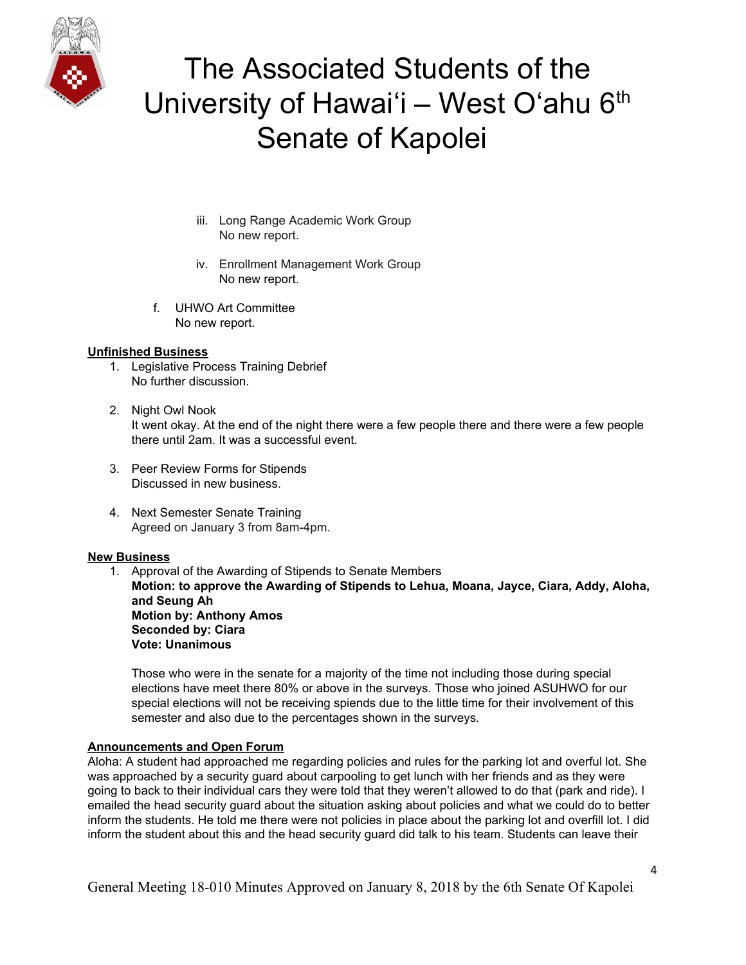

- iii. Long Range Academic Work Group No new report.
- iv. Enrollment Management Work Group No new report.
- f. UHWO Art Committee No new report.

#### **Unfinished Business**

- 1. Legislative Process Training Debrief No further discussion.
- 2. Night Owl Nook It went okay. At the end of the night there were a few people there and there were a few people there until 2am. It was a successful event.
- 3. Peer Review Forms for Stipends Discussed in new business.
- 4. Next Semester Senate Training Agreed on January 3 from 8am-4pm.

#### **New Business**

1. Approval of the Awarding of Stipends to Senate Members

**Motion: to approve the Awarding of Stipends to Lehua, Moana, Jayce, Ciara, Addy, Aloha, and Seung Ah Motion by: Anthony Amos Seconded by: Ciara Vote: Unanimous**

Those who were in the senate for a majority of the time not including those during special elections have meet there 80% or above in the surveys. Those who joined ASUHWO for our special elections will not be receiving spiends due to the little time for their involvement of this semester and also due to the percentages shown in the surveys.

### **Announcements and Open Forum**

Aloha: A student had approached me regarding policies and rules for the parking lot and overful lot. She was approached by a security guard about carpooling to get lunch with her friends and as they were going to back to their individual cars they were told that they weren't allowed to do that (park and ride). I emailed the head security guard about the situation asking about policies and what we could do to better inform the students. He told me there were not policies in place about the parking lot and overfill lot. I did inform the student about this and the head security guard did talk to his team. Students can leave their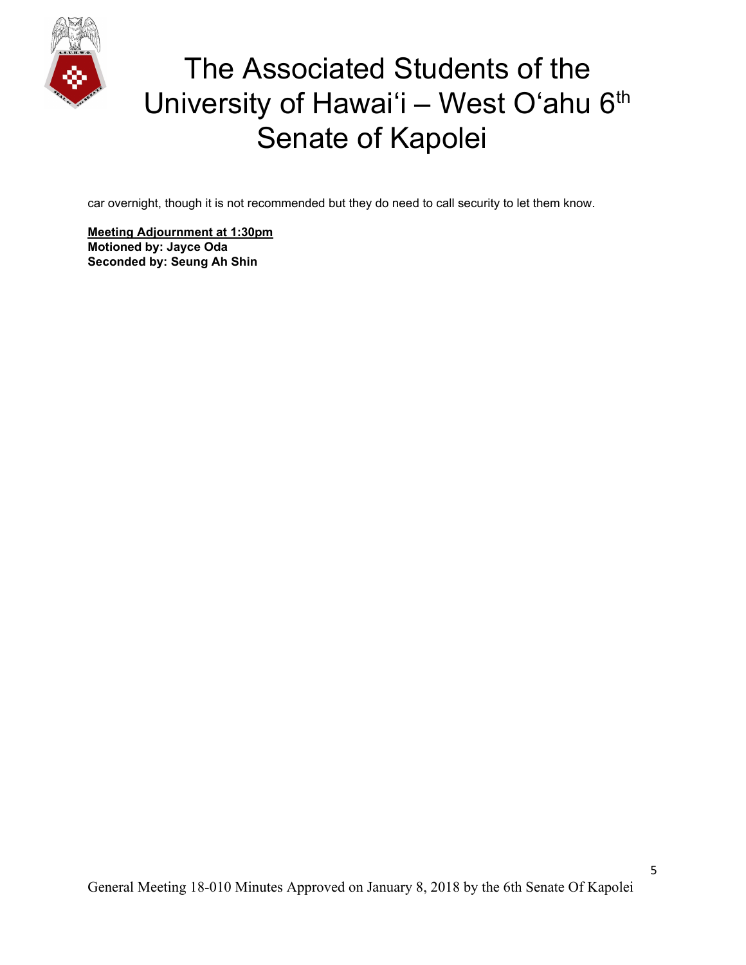

car overnight, though it is not recommended but they do need to call security to let them know.

**Meeting Adjournment at 1:30pm Motioned by: Jayce Oda Seconded by: Seung Ah Shin**